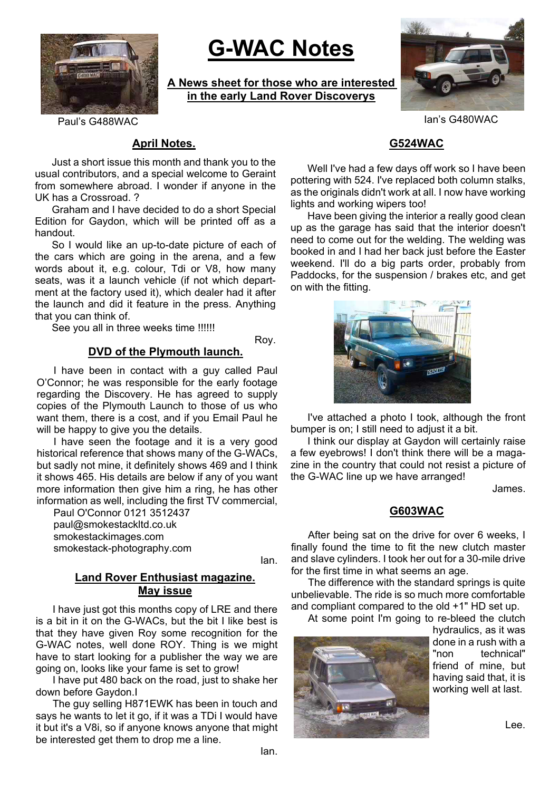

# **G-WAC Notes**

**A News sheet for those who are interested in the early Land Rover Discoverys**



Paul's G488WAC Ian's G480WAC

# **April Notes.**

Just a short issue this month and thank you to the usual contributors, and a special welcome to Geraint from somewhere abroad. I wonder if anyone in the UK has a Crossroad. ?

Graham and I have decided to do a short Special Edition for Gaydon, which will be printed off as a handout.

So I would like an up-to-date picture of each of the cars which are going in the arena, and a few words about it, e.g. colour, Tdi or V8, how many seats, was it a launch vehicle (if not which department at the factory used it), which dealer had it after the launch and did it feature in the press. Anything that you can think of.

See you all in three weeks time !!!!!!

Roy.

#### **DVD of the Plymouth launch.**

I have been in contact with a guy called Paul O'Connor; he was responsible for the early footage regarding the Discovery. He has agreed to supply copies of the Plymouth Launch to those of us who want them, there is a cost, and if you Email Paul he will be happy to give you the details.

I have seen the footage and it is a very good historical reference that shows many of the G-WACs, but sadly not mine, it definitely shows 469 and I think it shows 465. His details are below if any of you want more information then give him a ring, he has other information as well, including the first TV commercial,

Paul O'Connor 0121 3512437 paul@smokestackltd.co.uk smokestackimages.com smokestack-photography.com

Ian.

#### **Land Rover Enthusiast magazine. May issue**

I have just got this months copy of LRE and there is a bit in it on the G-WACs, but the bit I like best is that they have given Roy some recognition for the G-WAC notes, well done ROY. Thing is we might have to start looking for a publisher the way we are going on, looks like your fame is set to grow!

I have put 480 back on the road, just to shake her down before Gaydon.I

The guy selling H871EWK has been in touch and says he wants to let it go, if it was a TDi I would have it but it's a V8i, so if anyone knows anyone that might be interested get them to drop me a line.

# **G524WAC**

Well I've had a few days off work so I have been pottering with 524. I've replaced both column stalks, as the originals didn't work at all. I now have working lights and working wipers too!

Have been giving the interior a really good clean up as the garage has said that the interior doesn't need to come out for the welding. The welding was booked in and I had her back just before the Easter weekend. I'll do a big parts order, probably from Paddocks, for the suspension / brakes etc, and get on with the fitting.



I've attached a photo I took, although the front bumper is on; I still need to adjust it a bit.

I think our display at Gaydon will certainly raise a few eyebrows! I don't think there will be a magazine in the country that could not resist a picture of the G-WAC line up we have arranged!

James.

#### **G603WAC**

After being sat on the drive for over 6 weeks, I finally found the time to fit the new clutch master and slave cylinders. I took her out for a 30-mile drive for the first time in what seems an age.

The difference with the standard springs is quite unbelievable. The ride is so much more comfortable and compliant compared to the old +1" HD set up.

At some point I'm going to re-bleed the clutch



hydraulics, as it was done in a rush with a "non technical" friend of mine, but having said that, it is working well at last.

Lee.